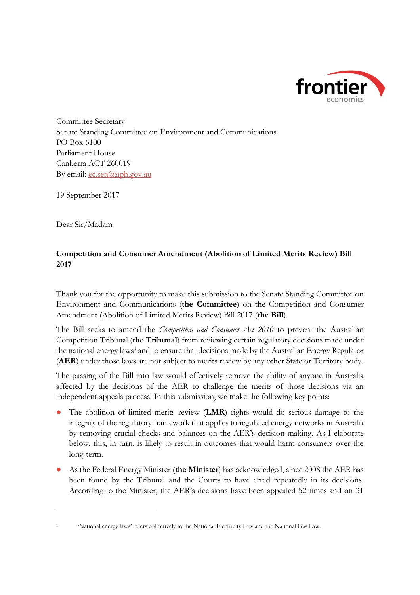

Committee Secretary Senate Standing Committee on Environment and Communications PO Box 6100 Parliament House Canberra ACT 260019 By email:  $ec.sen(\partial_{\alpha}aph.gov.au)$ 

19 September 2017

Dear Sir/Madam

 $\overline{a}$ 

# **Competition and Consumer Amendment (Abolition of Limited Merits Review) Bill 2017**

Thank you for the opportunity to make this submission to the Senate Standing Committee on Environment and Communications (**the Committee**) on the Competition and Consumer Amendment (Abolition of Limited Merits Review) Bill 2017 (**the Bill**).

The Bill seeks to amend the *Competition and Consumer Act 2010* to prevent the Australian Competition Tribunal (**the Tribunal**) from reviewing certain regulatory decisions made under the national energy laws<sup>1</sup> and to ensure that decisions made by the Australian Energy Regulator (**AER**) under those laws are not subject to merits review by any other State or Territory body.

The passing of the Bill into law would effectively remove the ability of anyone in Australia affected by the decisions of the AER to challenge the merits of those decisions via an independent appeals process. In this submission, we make the following key points:

- The abolition of limited merits review (**LMR**) rights would do serious damage to the integrity of the regulatory framework that applies to regulated energy networks in Australia by removing crucial checks and balances on the AER's decision-making. As I elaborate below, this, in turn, is likely to result in outcomes that would harm consumers over the long-term.
- As the Federal Energy Minister (**the Minister**) has acknowledged, since 2008 the AER has been found by the Tribunal and the Courts to have erred repeatedly in its decisions. According to the Minister, the AER's decisions have been appealed 52 times and on 31

<sup>1</sup> 'National energy laws' refers collectively to the National Electricity Law and the National Gas Law.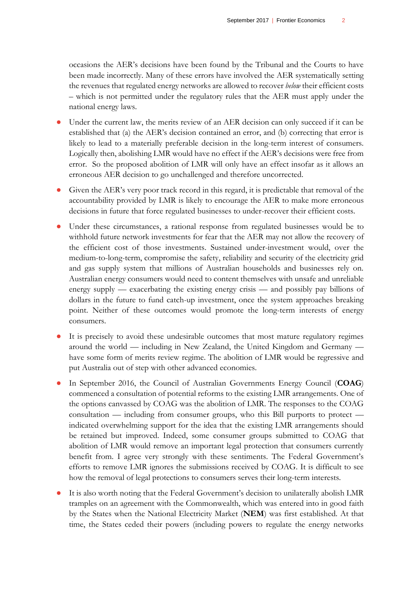occasions the AER's decisions have been found by the Tribunal and the Courts to have been made incorrectly. Many of these errors have involved the AER systematically setting the revenues that regulated energy networks are allowed to recover *below* their efficient costs – which is not permitted under the regulatory rules that the AER must apply under the national energy laws.

- Under the current law, the merits review of an AER decision can only succeed if it can be established that (a) the AER's decision contained an error, and (b) correcting that error is likely to lead to a materially preferable decision in the long-term interest of consumers. Logically then, abolishing LMR would have no effect if the AER's decisions were free from error. So the proposed abolition of LMR will only have an effect insofar as it allows an erroneous AER decision to go unchallenged and therefore uncorrected.
- Given the AER's very poor track record in this regard, it is predictable that removal of the accountability provided by LMR is likely to encourage the AER to make more erroneous decisions in future that force regulated businesses to under-recover their efficient costs.
- Under these circumstances, a rational response from regulated businesses would be to withhold future network investments for fear that the AER may not allow the recovery of the efficient cost of those investments. Sustained under-investment would, over the medium-to-long-term, compromise the safety, reliability and security of the electricity grid and gas supply system that millions of Australian households and businesses rely on. Australian energy consumers would need to content themselves with unsafe and unreliable energy supply — exacerbating the existing energy crisis — and possibly pay billions of dollars in the future to fund catch-up investment, once the system approaches breaking point. Neither of these outcomes would promote the long-term interests of energy consumers.
- It is precisely to avoid these undesirable outcomes that most mature regulatory regimes around the world — including in New Zealand, the United Kingdom and Germany have some form of merits review regime. The abolition of LMR would be regressive and put Australia out of step with other advanced economies.
- In September 2016, the Council of Australian Governments Energy Council (COAG) commenced a consultation of potential reforms to the existing LMR arrangements. One of the options canvassed by COAG was the abolition of LMR. The responses to the COAG consultation — including from consumer groups, who this Bill purports to protect indicated overwhelming support for the idea that the existing LMR arrangements should be retained but improved. Indeed, some consumer groups submitted to COAG that abolition of LMR would remove an important legal protection that consumers currently benefit from. I agree very strongly with these sentiments. The Federal Government's efforts to remove LMR ignores the submissions received by COAG. It is difficult to see how the removal of legal protections to consumers serves their long-term interests.
- It is also worth noting that the Federal Government's decision to unilaterally abolish LMR tramples on an agreement with the Commonwealth, which was entered into in good faith by the States when the National Electricity Market (**NEM**) was first established. At that time, the States ceded their powers (including powers to regulate the energy networks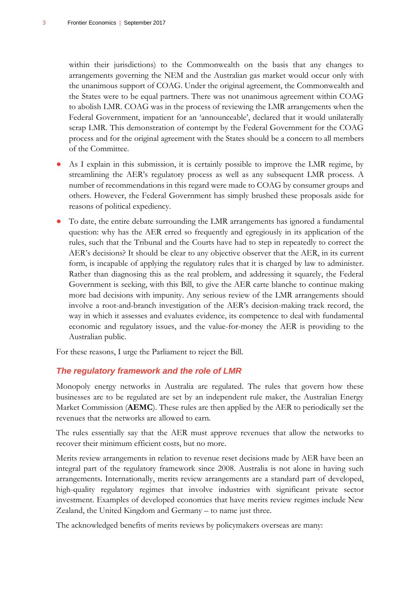within their jurisdictions) to the Commonwealth on the basis that any changes to arrangements governing the NEM and the Australian gas market would occur only with the unanimous support of COAG. Under the original agreement, the Commonwealth and the States were to be equal partners. There was not unanimous agreement within COAG to abolish LMR. COAG was in the process of reviewing the LMR arrangements when the Federal Government, impatient for an 'announceable', declared that it would unilaterally scrap LMR. This demonstration of contempt by the Federal Government for the COAG process and for the original agreement with the States should be a concern to all members of the Committee.

- As I explain in this submission, it is certainly possible to improve the LMR regime, by streamlining the AER's regulatory process as well as any subsequent LMR process. A number of recommendations in this regard were made to COAG by consumer groups and others. However, the Federal Government has simply brushed these proposals aside for reasons of political expediency.
- To date, the entire debate surrounding the LMR arrangements has ignored a fundamental question: why has the AER erred so frequently and egregiously in its application of the rules, such that the Tribunal and the Courts have had to step in repeatedly to correct the AER's decisions? It should be clear to any objective observer that the AER, in its current form, is incapable of applying the regulatory rules that it is charged by law to administer. Rather than diagnosing this as the real problem, and addressing it squarely, the Federal Government is seeking, with this Bill, to give the AER carte blanche to continue making more bad decisions with impunity. Any serious review of the LMR arrangements should involve a root-and-branch investigation of the AER's decision-making track record, the way in which it assesses and evaluates evidence, its competence to deal with fundamental economic and regulatory issues, and the value-for-money the AER is providing to the Australian public.

For these reasons, I urge the Parliament to reject the Bill.

#### *The regulatory framework and the role of LMR*

Monopoly energy networks in Australia are regulated. The rules that govern how these businesses are to be regulated are set by an independent rule maker, the Australian Energy Market Commission (**AEMC**). These rules are then applied by the AER to periodically set the revenues that the networks are allowed to earn.

The rules essentially say that the AER must approve revenues that allow the networks to recover their minimum efficient costs, but no more.

Merits review arrangements in relation to revenue reset decisions made by AER have been an integral part of the regulatory framework since 2008. Australia is not alone in having such arrangements. Internationally, merits review arrangements are a standard part of developed, high-quality regulatory regimes that involve industries with significant private sector investment. Examples of developed economies that have merits review regimes include New Zealand, the United Kingdom and Germany – to name just three.

The acknowledged benefits of merits reviews by policymakers overseas are many: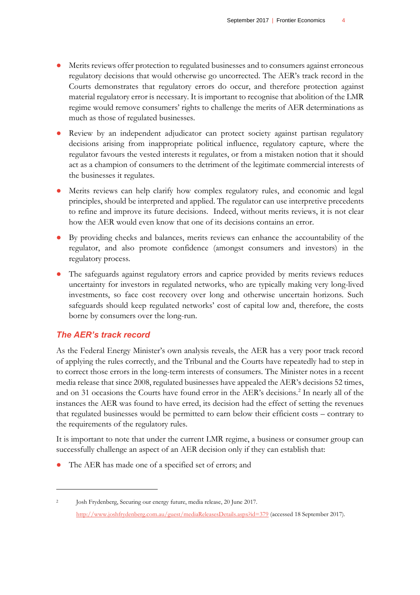- Merits reviews offer protection to regulated businesses and to consumers against erroneous regulatory decisions that would otherwise go uncorrected. The AER's track record in the Courts demonstrates that regulatory errors do occur, and therefore protection against material regulatory error is necessary. It is important to recognise that abolition of the LMR regime would remove consumers' rights to challenge the merits of AER determinations as much as those of regulated businesses.
- Review by an independent adjudicator can protect society against partisan regulatory decisions arising from inappropriate political influence, regulatory capture, where the regulator favours the vested interests it regulates, or from a mistaken notion that it should act as a champion of consumers to the detriment of the legitimate commercial interests of the businesses it regulates.
- Merits reviews can help clarify how complex regulatory rules, and economic and legal principles, should be interpreted and applied. The regulator can use interpretive precedents to refine and improve its future decisions. Indeed, without merits reviews, it is not clear how the AER would even know that one of its decisions contains an error.
- By providing checks and balances, merits reviews can enhance the accountability of the regulator, and also promote confidence (amongst consumers and investors) in the regulatory process.
- The safeguards against regulatory errors and caprice provided by merits reviews reduces uncertainty for investors in regulated networks, who are typically making very long-lived investments, so face cost recovery over long and otherwise uncertain horizons. Such safeguards should keep regulated networks' cost of capital low and, therefore, the costs borne by consumers over the long-run.

### *The AER's track record*

 $\overline{a}$ 

As the Federal Energy Minister's own analysis reveals, the AER has a very poor track record of applying the rules correctly, and the Tribunal and the Courts have repeatedly had to step in to correct those errors in the long-term interests of consumers. The Minister notes in a recent media release that since 2008, regulated businesses have appealed the AER's decisions 52 times, and on 31 occasions the Courts have found error in the AER's decisions.<sup>2</sup> In nearly all of the instances the AER was found to have erred, its decision had the effect of setting the revenues that regulated businesses would be permitted to earn below their efficient costs – contrary to the requirements of the regulatory rules.

It is important to note that under the current LMR regime, a business or consumer group can successfully challenge an aspect of an AER decision only if they can establish that:

The AER has made one of a specified set of errors; and

<sup>&</sup>lt;sup>2</sup> Josh Frydenberg, Securing our energy future, media release, 20 June 2017. <http://www.joshfrydenberg.com.au/guest/mediaReleasesDetails.aspx?id=379> (accessed 18 September 2017).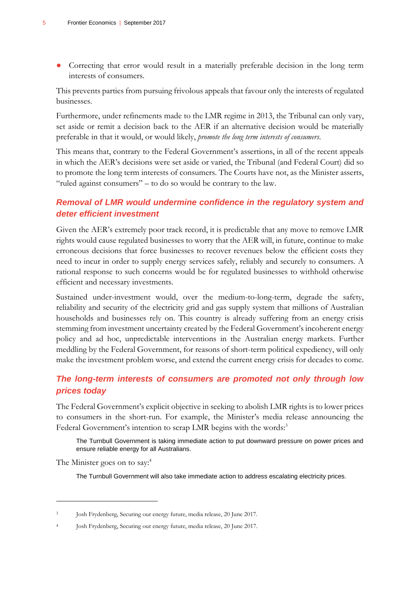● Correcting that error would result in a materially preferable decision in the long term interests of consumers.

This prevents parties from pursuing frivolous appeals that favour only the interests of regulated businesses.

Furthermore, under refinements made to the LMR regime in 2013, the Tribunal can only vary, set aside or remit a decision back to the AER if an alternative decision would be materially preferable in that it would, or would likely, *promote the long term interests of consumers*.

This means that, contrary to the Federal Government's assertions, in all of the recent appeals in which the AER's decisions were set aside or varied, the Tribunal (and Federal Court) did so to promote the long term interests of consumers. The Courts have not, as the Minister asserts, "ruled against consumers" – to do so would be contrary to the law.

# *Removal of LMR would undermine confidence in the regulatory system and deter efficient investment*

Given the AER's extremely poor track record, it is predictable that any move to remove LMR rights would cause regulated businesses to worry that the AER will, in future, continue to make erroneous decisions that force businesses to recover revenues below the efficient costs they need to incur in order to supply energy services safely, reliably and securely to consumers. A rational response to such concerns would be for regulated businesses to withhold otherwise efficient and necessary investments.

Sustained under-investment would, over the medium-to-long-term, degrade the safety, reliability and security of the electricity grid and gas supply system that millions of Australian households and businesses rely on. This country is already suffering from an energy crisis stemming from investment uncertainty created by the Federal Government's incoherent energy policy and ad hoc, unpredictable interventions in the Australian energy markets. Further meddling by the Federal Government, for reasons of short-term political expediency, will only make the investment problem worse, and extend the current energy crisis for decades to come.

# *The long-term interests of consumers are promoted not only through low prices today*

The Federal Government's explicit objective in seeking to abolish LMR rights is to lower prices to consumers in the short-run. For example, the Minister's media release announcing the Federal Government's intention to scrap LMR begins with the words:<sup>3</sup>

The Turnbull Government is taking immediate action to put downward pressure on power prices and ensure reliable energy for all Australians.

The Minister goes on to say:<sup>4</sup>

 $\overline{a}$ 

The Turnbull Government will also take immediate action to address escalating electricity prices.

<sup>3</sup> Josh Frydenberg, Securing our energy future, media release, 20 June 2017.

<sup>4</sup> Josh Frydenberg, Securing our energy future, media release, 20 June 2017.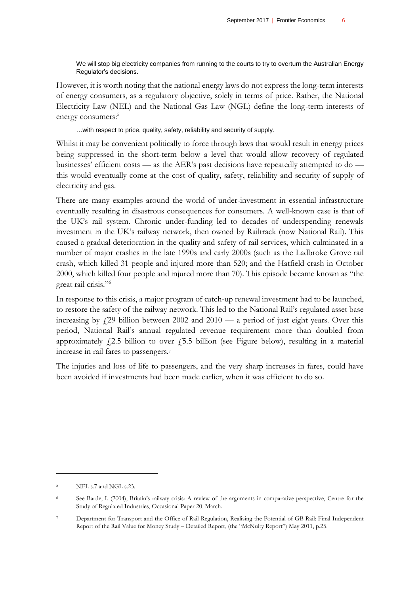We will stop big electricity companies from running to the courts to try to overturn the Australian Energy Regulator's decisions.

However, it is worth noting that the national energy laws do not express the long-term interests of energy consumers, as a regulatory objective, solely in terms of price. Rather, the National Electricity Law (NEL) and the National Gas Law (NGL) define the long-term interests of energy consumers:<sup>5</sup>

…with respect to price, quality, safety, reliability and security of supply.

Whilst it may be convenient politically to force through laws that would result in energy prices being suppressed in the short-term below a level that would allow recovery of regulated businesses' efficient costs — as the AER's past decisions have repeatedly attempted to do this would eventually come at the cost of quality, safety, reliability and security of supply of electricity and gas.

There are many examples around the world of under-investment in essential infrastructure eventually resulting in disastrous consequences for consumers. A well-known case is that of the UK's rail system. Chronic under-funding led to decades of underspending renewals investment in the UK's railway network, then owned by Railtrack (now National Rail). This caused a gradual deterioration in the quality and safety of rail services, which culminated in a number of major crashes in the late 1990s and early 2000s (such as the Ladbroke Grove rail crash, which killed 31 people and injured more than 520; and the Hatfield crash in October 2000, which killed four people and injured more than 70). This episode became known as "the great rail crisis." 6

In response to this crisis, a major program of catch-up renewal investment had to be launched, to restore the safety of the railway network. This led to the National Rail's regulated asset base increasing by  $f(29)$  billion between 2002 and 2010 — a period of just eight years. Over this period, National Rail's annual regulated revenue requirement more than doubled from approximately  $f(2.5)$  billion to over  $f(5.5)$  billion (see Figure below), resulting in a material increase in rail fares to passengers.<sup>7</sup>

The injuries and loss of life to passengers, and the very sharp increases in fares, could have been avoided if investments had been made earlier, when it was efficient to do so.

 $\overline{a}$ 

<sup>5</sup> NEL s.7 and NGL s.23.

<sup>&</sup>lt;sup>6</sup> See Bartle, I. (2004), Britain's railway crisis: A review of the arguments in comparative perspective, Centre for the Study of Regulated Industries, Occasional Paper 20, March.

<sup>7</sup> Department for Transport and the Office of Rail Regulation, Realising the Potential of GB Rail: Final Independent Report of the Rail Value for Money Study – Detailed Report, (the "McNulty Report") May 2011, p.25.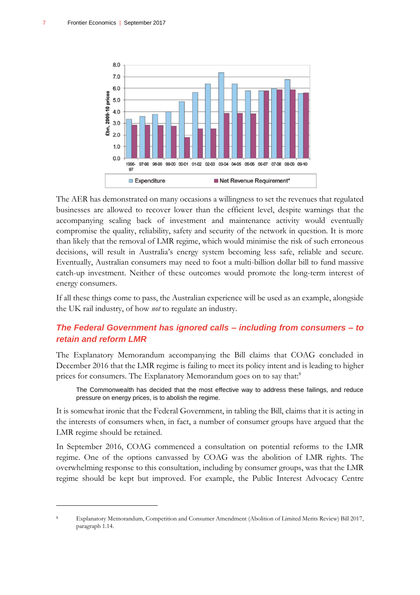$\overline{a}$ 



The AER has demonstrated on many occasions a willingness to set the revenues that regulated businesses are allowed to recover lower than the efficient level, despite warnings that the accompanying scaling back of investment and maintenance activity would eventually compromise the quality, reliability, safety and security of the network in question. It is more than likely that the removal of LMR regime, which would minimise the risk of such erroneous decisions, will result in Australia's energy system becoming less safe, reliable and secure. Eventually, Australian consumers may need to foot a multi-billion dollar bill to fund massive catch-up investment. Neither of these outcomes would promote the long-term interest of energy consumers.

If all these things come to pass, the Australian experience will be used as an example, alongside the UK rail industry, of how *not* to regulate an industry.

# *The Federal Government has ignored calls – including from consumers – to retain and reform LMR*

The Explanatory Memorandum accompanying the Bill claims that COAG concluded in December 2016 that the LMR regime is failing to meet its policy intent and is leading to higher prices for consumers. The Explanatory Memorandum goes on to say that:<sup>8</sup>

The Commonwealth has decided that the most effective way to address these failings, and reduce pressure on energy prices, is to abolish the regime.

It is somewhat ironic that the Federal Government, in tabling the Bill, claims that it is acting in the interests of consumers when, in fact, a number of consumer groups have argued that the LMR regime should be retained.

In September 2016, COAG commenced a consultation on potential reforms to the LMR regime. One of the options canvassed by COAG was the abolition of LMR rights. The overwhelming response to this consultation, including by consumer groups, was that the LMR regime should be kept but improved. For example, the Public Interest Advocacy Centre

<sup>8</sup> Explanatory Memorandum, Competition and Consumer Amendment (Abolition of Limited Merits Review) Bill 2017, paragraph 1.14.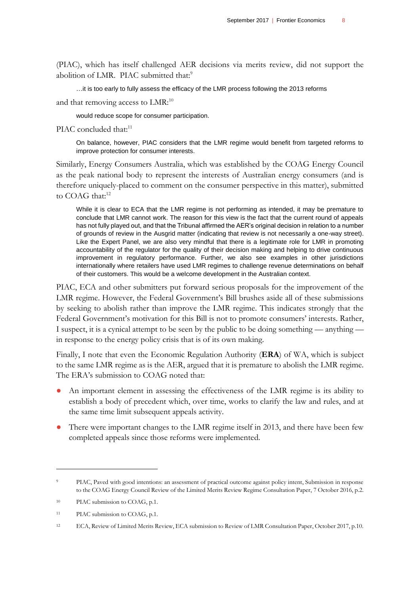(PIAC), which has itself challenged AER decisions via merits review, did not support the abolition of LMR. PIAC submitted that:<sup>9</sup>

…it is too early to fully assess the efficacy of the LMR process following the 2013 reforms

and that removing access to LMR:<sup>10</sup>

would reduce scope for consumer participation.

PIAC concluded that:<sup>11</sup>

On balance, however, PIAC considers that the LMR regime would benefit from targeted reforms to improve protection for consumer interests.

Similarly, Energy Consumers Australia, which was established by the COAG Energy Council as the peak national body to represent the interests of Australian energy consumers (and is therefore uniquely-placed to comment on the consumer perspective in this matter), submitted to COAG that:<sup>12</sup>

While it is clear to ECA that the LMR regime is not performing as intended, it may be premature to conclude that LMR cannot work. The reason for this view is the fact that the current round of appeals has not fully played out, and that the Tribunal affirmed the AER's original decision in relation to a number of grounds of review in the Ausgrid matter (indicating that review is not necessarily a one-way street). Like the Expert Panel, we are also very mindful that there is a legitimate role for LMR in promoting accountability of the regulator for the quality of their decision making and helping to drive continuous improvement in regulatory performance. Further, we also see examples in other jurisdictions internationally where retailers have used LMR regimes to challenge revenue determinations on behalf of their customers. This would be a welcome development in the Australian context.

PIAC, ECA and other submitters put forward serious proposals for the improvement of the LMR regime. However, the Federal Government's Bill brushes aside all of these submissions by seeking to abolish rather than improve the LMR regime. This indicates strongly that the Federal Government's motivation for this Bill is not to promote consumers' interests. Rather, I suspect, it is a cynical attempt to be seen by the public to be doing something — anything in response to the energy policy crisis that is of its own making.

Finally, I note that even the Economic Regulation Authority (**ERA**) of WA, which is subject to the same LMR regime as is the AER, argued that it is premature to abolish the LMR regime. The ERA's submission to COAG noted that:

- An important element in assessing the effectiveness of the LMR regime is its ability to establish a body of precedent which, over time, works to clarify the law and rules, and at the same time limit subsequent appeals activity.
- There were important changes to the LMR regime itself in 2013, and there have been few completed appeals since those reforms were implemented.

 $\overline{a}$ 

<sup>9</sup> PIAC, Paved with good intentions: an assessment of practical outcome against policy intent, Submission in response to the COAG Energy Council Review of the Limited Merits Review Regime Consultation Paper, 7 October 2016, p.2.

<sup>&</sup>lt;sup>10</sup> PIAC submission to COAG, p.1.

<sup>11</sup> PIAC submission to COAG, p.1.

<sup>&</sup>lt;sup>12</sup> ECA, Review of Limited Merits Review, ECA submission to Review of LMR Consultation Paper, October 2017, p.10.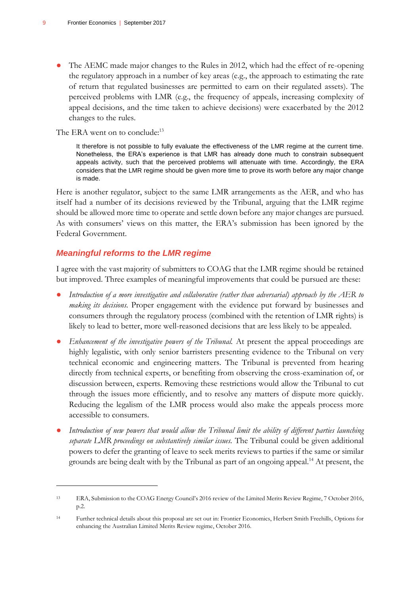The AEMC made major changes to the Rules in 2012, which had the effect of re-opening the regulatory approach in a number of key areas (e.g., the approach to estimating the rate of return that regulated businesses are permitted to earn on their regulated assets). The perceived problems with LMR (e.g., the frequency of appeals, increasing complexity of appeal decisions, and the time taken to achieve decisions) were exacerbated by the 2012 changes to the rules.

#### The ERA went on to conclude:<sup>13</sup>

It therefore is not possible to fully evaluate the effectiveness of the LMR regime at the current time. Nonetheless, the ERA's experience is that LMR has already done much to constrain subsequent appeals activity, such that the perceived problems will attenuate with time. Accordingly, the ERA considers that the LMR regime should be given more time to prove its worth before any major change is made.

Here is another regulator, subject to the same LMR arrangements as the AER, and who has itself had a number of its decisions reviewed by the Tribunal, arguing that the LMR regime should be allowed more time to operate and settle down before any major changes are pursued. As with consumers' views on this matter, the ERA's submission has been ignored by the Federal Government.

#### *Meaningful reforms to the LMR regime*

 $\overline{a}$ 

I agree with the vast majority of submitters to COAG that the LMR regime should be retained but improved. Three examples of meaningful improvements that could be pursued are these:

- *Introduction of a more investigative and collaborative (rather than adversarial) approach by the AER to making its decisions.* Proper engagement with the evidence put forward by businesses and consumers through the regulatory process (combined with the retention of LMR rights) is likely to lead to better, more well-reasoned decisions that are less likely to be appealed.
- *Enhancement of the investigative powers of the Tribunal*. At present the appeal proceedings are highly legalistic, with only senior barristers presenting evidence to the Tribunal on very technical economic and engineering matters. The Tribunal is prevented from hearing directly from technical experts, or benefiting from observing the cross-examination of, or discussion between, experts. Removing these restrictions would allow the Tribunal to cut through the issues more efficiently, and to resolve any matters of dispute more quickly. Reducing the legalism of the LMR process would also make the appeals process more accessible to consumers.
- Introduction of new powers that would allow the Tribunal limit the ability of different parties launching *separate LMR proceedings on substantively similar issues.* The Tribunal could be given additional powers to defer the granting of leave to seek merits reviews to parties if the same or similar grounds are being dealt with by the Tribunal as part of an ongoing appeal.<sup>14</sup> At present, the

<sup>13</sup> ERA, Submission to the COAG Energy Council's 2016 review of the Limited Merits Review Regime, 7 October 2016, p.2.

<sup>14</sup> Further technical details about this proposal are set out in: Frontier Economics, Herbert Smith Freehills, Options for enhancing the Australian Limited Merits Review regime, October 2016.